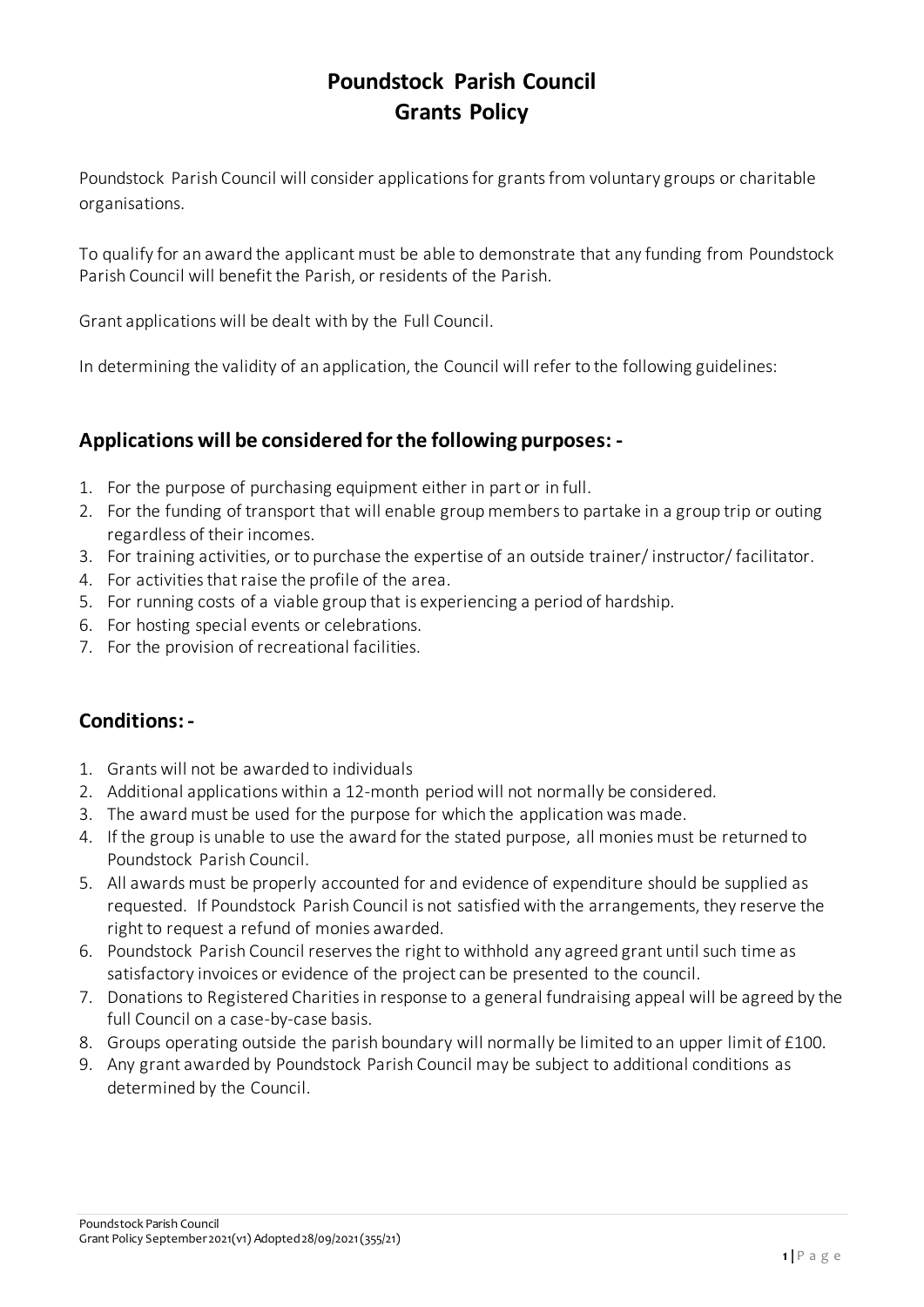## **Poundstock Parish Council Grants Policy**

Poundstock Parish Council will consider applications for grants from voluntary groups or charitable organisations.

To qualify for an award the applicant must be able to demonstrate that any funding from Poundstock Parish Council will benefit the Parish, or residents of the Parish.

Grant applications will be dealt with by the Full Council.

In determining the validity of an application, the Council will refer to the following guidelines:

## **Applications will be considered for the following purposes: -**

- 1. For the purpose of purchasing equipment either in part or in full.
- 2. For the funding of transport that will enable group members to partake in a group trip or outing regardless of their incomes.
- 3. For training activities, or to purchase the expertise of an outside trainer/ instructor/ facilitator.
- 4. For activities that raise the profile of the area.
- 5. For running costs of a viable group that is experiencing a period of hardship.
- 6. For hosting special events or celebrations.
- 7. For the provision of recreational facilities.

## **Conditions: -**

- 1. Grants will not be awarded to individuals
- 2. Additional applications within a 12-month period will not normally be considered.
- 3. The award must be used for the purpose for which the application was made.
- 4. If the group is unable to use the award for the stated purpose, all monies must be returned to Poundstock Parish Council.
- 5. All awards must be properly accounted for and evidence of expenditure should be supplied as requested. If Poundstock Parish Council is not satisfied with the arrangements, they reserve the right to request a refund of monies awarded.
- 6. Poundstock Parish Council reserves the right to withhold any agreed grant until such time as satisfactory invoices or evidence of the project can be presented to the council.
- 7. Donations to Registered Charities in response to a general fundraising appeal will be agreed by the full Council on a case-by-case basis.
- 8. Groups operating outside the parish boundary will normally be limited to an upper limit of £100.
- 9. Any grant awarded by Poundstock Parish Council may be subject to additional conditions as determined by the Council.